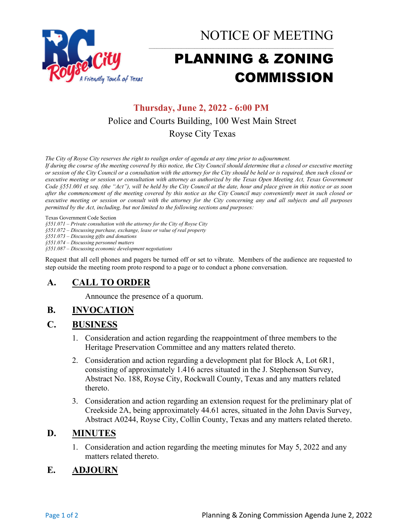

NOTICE OF MEETING

# PLANNING & ZONING COMMISSION

# **Thursday, June 2, 2022 - 6:00 PM** Police and Courts Building, 100 West Main Street Royse City Texas

*The City of Royse City reserves the right to realign order of agenda at any time prior to adjournment.*

*If during the course of the meeting covered by this notice, the City Council should determine that a closed or executive meeting or session of the City Council or a consultation with the attorney for the City should be held or is required, then such closed or executive meeting or session or consultation with attorney as authorized by the Texas Open Meeting Act, Texas Government Code §551.001 et seq. (the "Act"), will be held by the City Council at the date, hour and place given in this notice or as soon after the commencement of the meeting covered by this notice as the City Council may conveniently meet in such closed or executive meeting or session or consult with the attorney for the City concerning any and all subjects and all purposes permitted by the Act, including, but not limited to the following sections and purposes:*

Texas Government Code Section

*§551.071 – Private consultation with the attorney for the City of Royse City* 

*§551.072 – Discussing purchase, exchange, lease or value of real property* 

*§551.073 – Discussing gifts and donations*

*§551.074 – Discussing personnel matters*

*§551.087 – Discussing economic development negotiations*

Request that all cell phones and pagers be turned off or set to vibrate. Members of the audience are requested to step outside the meeting room proto respond to a page or to conduct a phone conversation.

# **A. CALL TO ORDER**

Announce the presence of a quorum.

## **B. INVOCATION**

#### **C. BUSINESS**

- 1. Consideration and action regarding the reappointment of three members to the Heritage Preservation Committee and any matters related thereto.
- 2. Consideration and action regarding a development plat for Block A, Lot 6R1, consisting of approximately 1.416 acres situated in the J. Stephenson Survey, Abstract No. 188, Royse City, Rockwall County, Texas and any matters related thereto.
- 3. Consideration and action regarding an extension request for the preliminary plat of Creekside 2A, being approximately 44.61 acres, situated in the John Davis Survey, Abstract A0244, Royse City, Collin County, Texas and any matters related thereto.

## **D. MINUTES**

1. Consideration and action regarding the meeting minutes for May 5, 2022 and any matters related thereto.

# **E. ADJOURN**